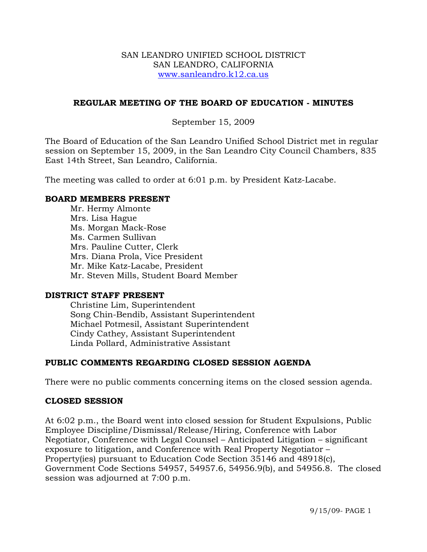#### SAN LEANDRO UNIFIED SCHOOL DISTRICT SAN LEANDRO, CALIFORNIA www.sanleandro.k12.ca.us

### **REGULAR MEETING OF THE BOARD OF EDUCATION - MINUTES**

### September 15, 2009

The Board of Education of the San Leandro Unified School District met in regular session on September 15, 2009, in the San Leandro City Council Chambers, 835 East 14th Street, San Leandro, California.

The meeting was called to order at 6:01 p.m. by President Katz-Lacabe.

#### **BOARD MEMBERS PRESENT**

Mr. Hermy Almonte Mrs. Lisa Hague Ms. Morgan Mack-Rose Ms. Carmen Sullivan Mrs. Pauline Cutter, Clerk Mrs. Diana Prola, Vice President Mr. Mike Katz-Lacabe, President Mr. Steven Mills, Student Board Member

#### **DISTRICT STAFF PRESENT**

Christine Lim, Superintendent Song Chin-Bendib, Assistant Superintendent Michael Potmesil, Assistant Superintendent Cindy Cathey, Assistant Superintendent Linda Pollard, Administrative Assistant

### **PUBLIC COMMENTS REGARDING CLOSED SESSION AGENDA**

There were no public comments concerning items on the closed session agenda.

#### **CLOSED SESSION**

At 6:02 p.m., the Board went into closed session for Student Expulsions, Public Employee Discipline/Dismissal/Release/Hiring, Conference with Labor Negotiator, Conference with Legal Counsel – Anticipated Litigation – significant exposure to litigation, and Conference with Real Property Negotiator – Property(ies) pursuant to Education Code Section 35146 and 48918(c), Government Code Sections 54957, 54957.6, 54956.9(b), and 54956.8. The closed session was adjourned at 7:00 p.m.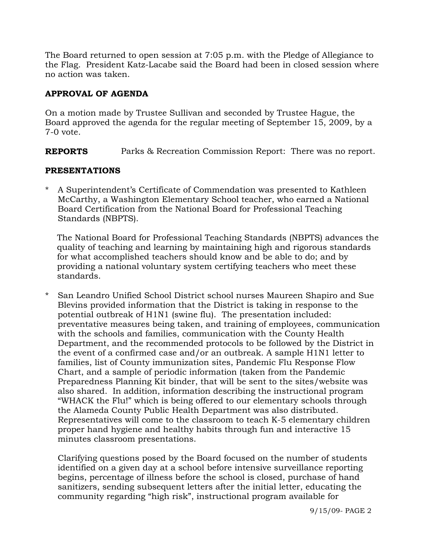The Board returned to open session at 7:05 p.m. with the Pledge of Allegiance to the Flag. President Katz-Lacabe said the Board had been in closed session where no action was taken.

## **APPROVAL OF AGENDA**

On a motion made by Trustee Sullivan and seconded by Trustee Hague, the Board approved the agenda for the regular meeting of September 15, 2009, by a 7-0 vote.

**REPORTS** Parks & Recreation Commission Report: There was no report.

## **PRESENTATIONS**

A Superintendent's Certificate of Commendation was presented to Kathleen McCarthy, a Washington Elementary School teacher, who earned a National Board Certification from the National Board for Professional Teaching Standards (NBPTS).

 The National Board for Professional Teaching Standards (NBPTS) advances the quality of teaching and learning by maintaining high and rigorous standards for what accomplished teachers should know and be able to do; and by providing a national voluntary system certifying teachers who meet these standards.

\* San Leandro Unified School District school nurses Maureen Shapiro and Sue Blevins provided information that the District is taking in response to the potential outbreak of H1N1 (swine flu). The presentation included: preventative measures being taken, and training of employees, communication with the schools and families, communication with the County Health Department, and the recommended protocols to be followed by the District in the event of a confirmed case and/or an outbreak. A sample H1N1 letter to families, list of County immunization sites, Pandemic Flu Response Flow Chart, and a sample of periodic information (taken from the Pandemic Preparedness Planning Kit binder, that will be sent to the sites/website was also shared. In addition, information describing the instructional program "WHACK the Flu!" which is being offered to our elementary schools through the Alameda County Public Health Department was also distributed. Representatives will come to the classroom to teach K-5 elementary children proper hand hygiene and healthy habits through fun and interactive 15 minutes classroom presentations.

 Clarifying questions posed by the Board focused on the number of students identified on a given day at a school before intensive surveillance reporting begins, percentage of illness before the school is closed, purchase of hand sanitizers, sending subsequent letters after the initial letter, educating the community regarding "high risk", instructional program available for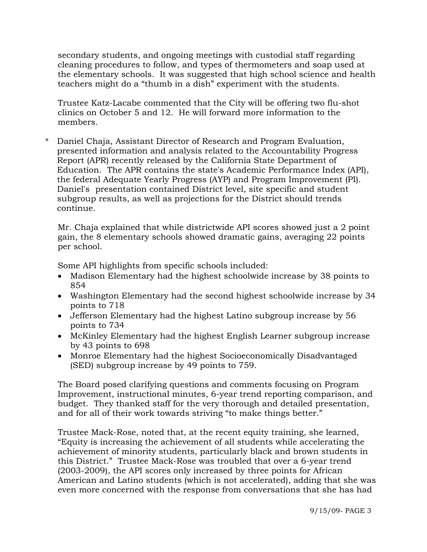secondary students, and ongoing meetings with custodial staff regarding cleaning procedures to follow, and types of thermometers and soap used at the elementary schools. It was suggested that high school science and health teachers might do a "thumb in a dish" experiment with the students.

 Trustee Katz-Lacabe commented that the City will be offering two flu-shot clinics on October 5 and 12. He will forward more information to the members.

Daniel Chaja, Assistant Director of Research and Program Evaluation, presented information and analysis related to the Accountability Progress Report (APR) recently released by the California State Department of Education. The APR contains the state's Academic Performance Index (API), the federal Adequate Yearly Progress (AYP) and Program Improvement (PI). Daniel's presentation contained District level, site specific and student subgroup results, as well as projections for the District should trends continue.

 Mr. Chaja explained that while districtwide API scores showed just a 2 point gain, the 8 elementary schools showed dramatic gains, averaging 22 points per school.

Some API highlights from specific schools included:

- Madison Elementary had the highest schoolwide increase by 38 points to 854
- Washington Elementary had the second highest schoolwide increase by 34 points to 718
- Jefferson Elementary had the highest Latino subgroup increase by 56 points to 734
- McKinley Elementary had the highest English Learner subgroup increase by 43 points to 698
- Monroe Elementary had the highest Socioeconomically Disadvantaged (SED) subgroup increase by 49 points to 759.

The Board posed clarifying questions and comments focusing on Program Improvement, instructional minutes, 6-year trend reporting comparison, and budget. They thanked staff for the very thorough and detailed presentation, and for all of their work towards striving "to make things better."

Trustee Mack-Rose, noted that, at the recent equity training, she learned, "Equity is increasing the achievement of all students while accelerating the achievement of minority students, particularly black and brown students in this District." Trustee Mack-Rose was troubled that over a 6-year trend (2003-2009), the API scores only increased by three points for African American and Latino students (which is not accelerated), adding that she was even more concerned with the response from conversations that she has had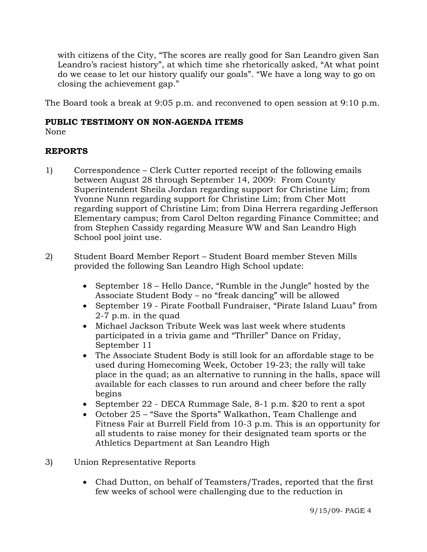with citizens of the City, "The scores are really good for San Leandro given San Leandro's raciest history", at which time she rhetorically asked, "At what point do we cease to let our history qualify our goals". "We have a long way to go on closing the achievement gap."

The Board took a break at 9:05 p.m. and reconvened to open session at 9:10 p.m.

## **PUBLIC TESTIMONY ON NON-AGENDA ITEMS**

None

# **REPORTS**

- 1) Correspondence Clerk Cutter reported receipt of the following emails between August 28 through September 14, 2009: From County Superintendent Sheila Jordan regarding support for Christine Lim; from Yvonne Nunn regarding support for Christine Lim; from Cher Mott regarding support of Christine Lim; from Dina Herrera regarding Jefferson Elementary campus; from Carol Delton regarding Finance Committee; and from Stephen Cassidy regarding Measure WW and San Leandro High School pool joint use.
- 2) Student Board Member Report Student Board member Steven Mills provided the following San Leandro High School update:
	- September 18 Hello Dance, "Rumble in the Jungle" hosted by the Associate Student Body – no "freak dancing" will be allowed
	- September 19 Pirate Football Fundraiser, "Pirate Island Luau" from 2-7 p.m. in the quad
	- Michael Jackson Tribute Week was last week where students participated in a trivia game and "Thriller" Dance on Friday, September 11
	- The Associate Student Body is still look for an affordable stage to be used during Homecoming Week, October 19-23; the rally will take place in the quad; as an alternative to running in the halls, space will available for each classes to run around and cheer before the rally begins
	- September 22 DECA Rummage Sale, 8-1 p.m. \$20 to rent a spot
	- October 25 "Save the Sports" Walkathon, Team Challenge and Fitness Fair at Burrell Field from 10-3 p.m. This is an opportunity for all students to raise money for their designated team sports or the Athletics Department at San Leandro High
- 3) Union Representative Reports
	- Chad Dutton, on behalf of Teamsters/Trades, reported that the first few weeks of school were challenging due to the reduction in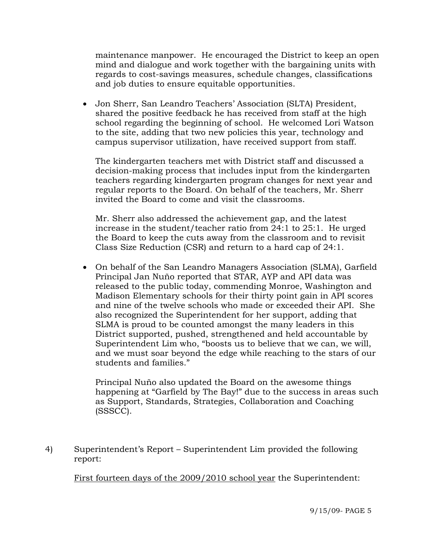maintenance manpower. He encouraged the District to keep an open mind and dialogue and work together with the bargaining units with regards to cost-savings measures, schedule changes, classifications and job duties to ensure equitable opportunities.

• Jon Sherr, San Leandro Teachers' Association (SLTA) President, shared the positive feedback he has received from staff at the high school regarding the beginning of school. He welcomed Lori Watson to the site, adding that two new policies this year, technology and campus supervisor utilization, have received support from staff.

The kindergarten teachers met with District staff and discussed a decision-making process that includes input from the kindergarten teachers regarding kindergarten program changes for next year and regular reports to the Board. On behalf of the teachers, Mr. Sherr invited the Board to come and visit the classrooms.

Mr. Sherr also addressed the achievement gap, and the latest increase in the student/teacher ratio from 24:1 to 25:1. He urged the Board to keep the cuts away from the classroom and to revisit Class Size Reduction (CSR) and return to a hard cap of 24:1.

• On behalf of the San Leandro Managers Association (SLMA), Garfield Principal Jan Nuño reported that STAR, AYP and API data was released to the public today, commending Monroe, Washington and Madison Elementary schools for their thirty point gain in API scores and nine of the twelve schools who made or exceeded their API. She also recognized the Superintendent for her support, adding that SLMA is proud to be counted amongst the many leaders in this District supported, pushed, strengthened and held accountable by Superintendent Lim who, "boosts us to believe that we can, we will, and we must soar beyond the edge while reaching to the stars of our students and families."

Principal Nuño also updated the Board on the awesome things happening at "Garfield by The Bay!" due to the success in areas such as Support, Standards, Strategies, Collaboration and Coaching (SSSCC).

4) Superintendent's Report – Superintendent Lim provided the following report:

First fourteen days of the 2009/2010 school year the Superintendent: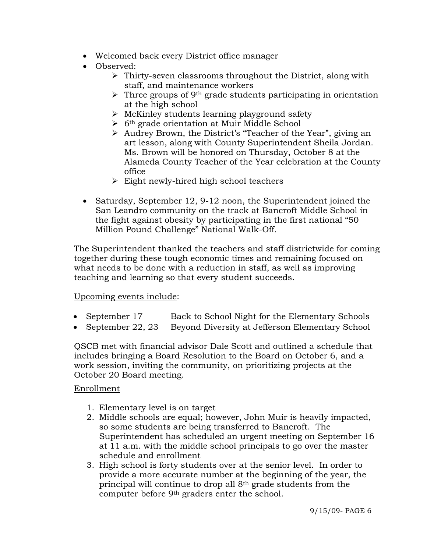- Welcomed back every District office manager
- Observed:
	- $\triangleright$  Thirty-seven classrooms throughout the District, along with staff, and maintenance workers
	- $\triangleright$  Three groups of 9<sup>th</sup> grade students participating in orientation at the high school
	- $\triangleright$  McKinley students learning playground safety
	- $\triangleright$  6<sup>th</sup> grade orientation at Muir Middle School
	- ¾ Audrey Brown, the District's "Teacher of the Year", giving an art lesson, along with County Superintendent Sheila Jordan. Ms. Brown will be honored on Thursday, October 8 at the Alameda County Teacher of the Year celebration at the County office
	- $\triangleright$  Eight newly-hired high school teachers
- Saturday, September 12, 9-12 noon, the Superintendent joined the San Leandro community on the track at Bancroft Middle School in the fight against obesity by participating in the first national "50 Million Pound Challenge" National Walk-Off.

The Superintendent thanked the teachers and staff districtwide for coming together during these tough economic times and remaining focused on what needs to be done with a reduction in staff, as well as improving teaching and learning so that every student succeeds.

# Upcoming events include:

- September 17 Back to School Night for the Elementary Schools
- September 22, 23 Beyond Diversity at Jefferson Elementary School

QSCB met with financial advisor Dale Scott and outlined a schedule that includes bringing a Board Resolution to the Board on October 6, and a work session, inviting the community, on prioritizing projects at the October 20 Board meeting.

### Enrollment

- 1. Elementary level is on target
- 2. Middle schools are equal; however, John Muir is heavily impacted, so some students are being transferred to Bancroft. The Superintendent has scheduled an urgent meeting on September 16 at 11 a.m. with the middle school principals to go over the master schedule and enrollment
- 3. High school is forty students over at the senior level. In order to provide a more accurate number at the beginning of the year, the principal will continue to drop all 8th grade students from the computer before 9th graders enter the school.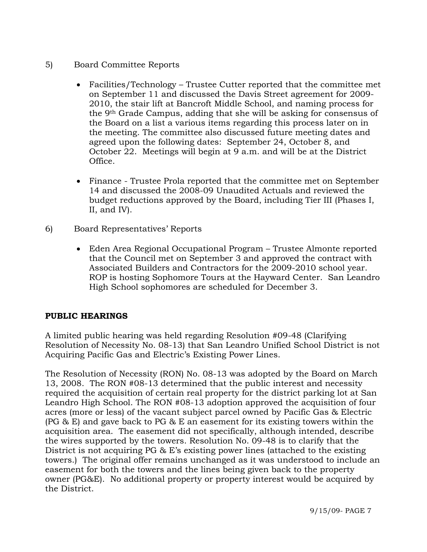- 5) Board Committee Reports
	- Facilities/Technology Trustee Cutter reported that the committee met on September 11 and discussed the Davis Street agreement for 2009- 2010, the stair lift at Bancroft Middle School, and naming process for the 9th Grade Campus, adding that she will be asking for consensus of the Board on a list a various items regarding this process later on in the meeting. The committee also discussed future meeting dates and agreed upon the following dates: September 24, October 8, and October 22. Meetings will begin at 9 a.m. and will be at the District Office.
	- Finance Trustee Prola reported that the committee met on September 14 and discussed the 2008-09 Unaudited Actuals and reviewed the budget reductions approved by the Board, including Tier III (Phases I, II, and IV).
- 6) Board Representatives' Reports
	- Eden Area Regional Occupational Program Trustee Almonte reported that the Council met on September 3 and approved the contract with Associated Builders and Contractors for the 2009-2010 school year. ROP is hosting Sophomore Tours at the Hayward Center. San Leandro High School sophomores are scheduled for December 3.

# **PUBLIC HEARINGS**

A limited public hearing was held regarding Resolution #09-48 (Clarifying Resolution of Necessity No. 08-13) that San Leandro Unified School District is not Acquiring Pacific Gas and Electric's Existing Power Lines.

The Resolution of Necessity (RON) No. 08-13 was adopted by the Board on March 13, 2008. The RON #08-13 determined that the public interest and necessity required the acquisition of certain real property for the district parking lot at San Leandro High School. The RON #08-13 adoption approved the acquisition of four acres (more or less) of the vacant subject parcel owned by Pacific Gas & Electric (PG & E) and gave back to PG & E an easement for its existing towers within the acquisition area. The easement did not specifically, although intended, describe the wires supported by the towers. Resolution No. 09-48 is to clarify that the District is not acquiring PG & E's existing power lines (attached to the existing towers.) The original offer remains unchanged as it was understood to include an easement for both the towers and the lines being given back to the property owner (PG&E). No additional property or property interest would be acquired by the District.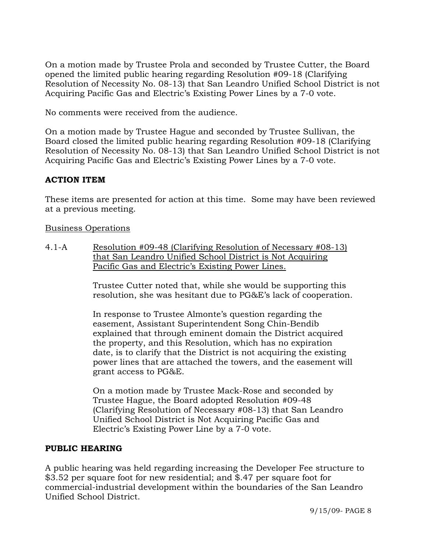On a motion made by Trustee Prola and seconded by Trustee Cutter, the Board opened the limited public hearing regarding Resolution #09-18 (Clarifying Resolution of Necessity No. 08-13) that San Leandro Unified School District is not Acquiring Pacific Gas and Electric's Existing Power Lines by a 7-0 vote.

No comments were received from the audience.

On a motion made by Trustee Hague and seconded by Trustee Sullivan, the Board closed the limited public hearing regarding Resolution #09-18 (Clarifying Resolution of Necessity No. 08-13) that San Leandro Unified School District is not Acquiring Pacific Gas and Electric's Existing Power Lines by a 7-0 vote.

# **ACTION ITEM**

These items are presented for action at this time. Some may have been reviewed at a previous meeting.

Business Operations

4.1-A Resolution #09-48 (Clarifying Resolution of Necessary #08-13) that San Leandro Unified School District is Not Acquiring Pacific Gas and Electric's Existing Power Lines.

> Trustee Cutter noted that, while she would be supporting this resolution, she was hesitant due to PG&E's lack of cooperation.

> In response to Trustee Almonte's question regarding the easement, Assistant Superintendent Song Chin-Bendib explained that through eminent domain the District acquired the property, and this Resolution, which has no expiration date, is to clarify that the District is not acquiring the existing power lines that are attached the towers, and the easement will grant access to PG&E.

On a motion made by Trustee Mack-Rose and seconded by Trustee Hague, the Board adopted Resolution #09-48 (Clarifying Resolution of Necessary #08-13) that San Leandro Unified School District is Not Acquiring Pacific Gas and Electric's Existing Power Line by a 7-0 vote.

# **PUBLIC HEARING**

A public hearing was held regarding increasing the Developer Fee structure to \$3.52 per square foot for new residential; and \$.47 per square foot for commercial-industrial development within the boundaries of the San Leandro Unified School District.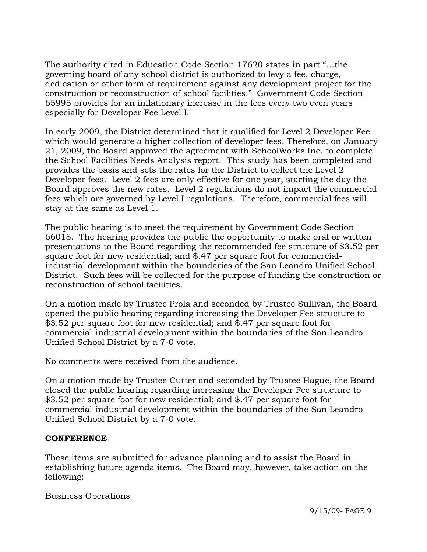The authority cited in Education Code Section 17620 states in part "…the governing board of any school district is authorized to levy a fee, charge, dedication or other form of requirement against any development project for the construction or reconstruction of school facilities." Government Code Section 65995 provides for an inflationary increase in the fees every two even years especially for Developer Fee Level I.

In early 2009, the District determined that it qualified for Level 2 Developer Fee which would generate a higher collection of developer fees. Therefore, on January 21, 2009, the Board approved the agreement with SchoolWorks Inc. to complete the School Facilities Needs Analysis report. This study has been completed and provides the basis and sets the rates for the District to collect the Level 2 Developer fees. Level 2 fees are only effective for one year, starting the day the Board approves the new rates. Level 2 regulations do not impact the commercial fees which are governed by Level I regulations. Therefore, commercial fees will stay at the same as Level 1.

The public hearing is to meet the requirement by Government Code Section 66018. The hearing provides the public the opportunity to make oral or written presentations to the Board regarding the recommended fee structure of \$3.52 per square foot for new residential; and \$.47 per square foot for commercialindustrial development within the boundaries of the San Leandro Unified School District. Such fees will be collected for the purpose of funding the construction or reconstruction of school facilities.

On a motion made by Trustee Prola and seconded by Trustee Sullivan, the Board opened the public hearing regarding increasing the Developer Fee structure to \$3.52 per square foot for new residential; and \$.47 per square foot for commercial-industrial development within the boundaries of the San Leandro Unified School District by a 7-0 vote.

No comments were received from the audience.

On a motion made by Trustee Cutter and seconded by Trustee Hague, the Board closed the public hearing regarding increasing the Developer Fee structure to \$3.52 per square foot for new residential; and \$.47 per square foot for commercial-industrial development within the boundaries of the San Leandro Unified School District by a 7-0 vote.

#### **CONFERENCE**

These items are submitted for advance planning and to assist the Board in establishing future agenda items. The Board may, however, take action on the following:

### Business Operations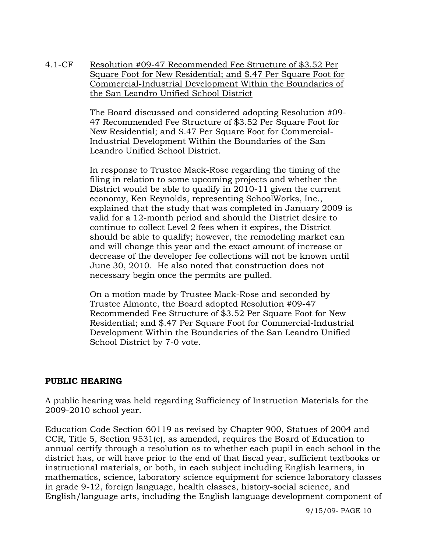4.1-CF Resolution #09-47 Recommended Fee Structure of \$3.52 Per Square Foot for New Residential; and \$.47 Per Square Foot for Commercial-Industrial Development Within the Boundaries of the San Leandro Unified School District

> The Board discussed and considered adopting Resolution #09- 47 Recommended Fee Structure of \$3.52 Per Square Foot for New Residential; and \$.47 Per Square Foot for Commercial-Industrial Development Within the Boundaries of the San Leandro Unified School District.

In response to Trustee Mack-Rose regarding the timing of the filing in relation to some upcoming projects and whether the District would be able to qualify in 2010-11 given the current economy, Ken Reynolds, representing SchoolWorks, Inc., explained that the study that was completed in January 2009 is valid for a 12-month period and should the District desire to continue to collect Level 2 fees when it expires, the District should be able to qualify; however, the remodeling market can and will change this year and the exact amount of increase or decrease of the developer fee collections will not be known until June 30, 2010. He also noted that construction does not necessary begin once the permits are pulled.

On a motion made by Trustee Mack-Rose and seconded by Trustee Almonte, the Board adopted Resolution #09-47 Recommended Fee Structure of \$3.52 Per Square Foot for New Residential; and \$.47 Per Square Foot for Commercial-Industrial Development Within the Boundaries of the San Leandro Unified School District by 7-0 vote.

### **PUBLIC HEARING**

A public hearing was held regarding Sufficiency of Instruction Materials for the 2009-2010 school year.

Education Code Section 60119 as revised by Chapter 900, Statues of 2004 and CCR, Title 5, Section 9531(c), as amended, requires the Board of Education to annual certify through a resolution as to whether each pupil in each school in the district has, or will have prior to the end of that fiscal year, sufficient textbooks or instructional materials, or both, in each subject including English learners, in mathematics, science, laboratory science equipment for science laboratory classes in grade 9-12, foreign language, health classes, history-social science, and English/language arts, including the English language development component of

9/15/09- PAGE 10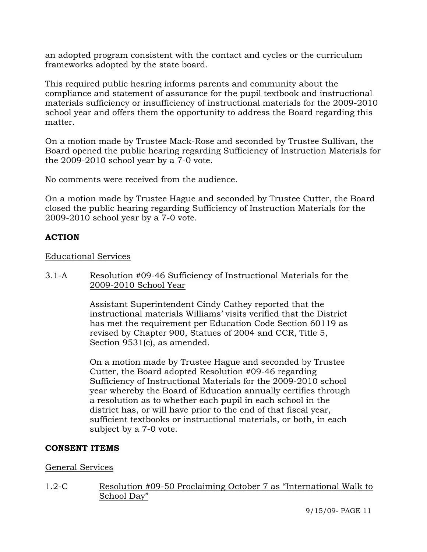an adopted program consistent with the contact and cycles or the curriculum frameworks adopted by the state board.

This required public hearing informs parents and community about the compliance and statement of assurance for the pupil textbook and instructional materials sufficiency or insufficiency of instructional materials for the 2009-2010 school year and offers them the opportunity to address the Board regarding this matter.

On a motion made by Trustee Mack-Rose and seconded by Trustee Sullivan, the Board opened the public hearing regarding Sufficiency of Instruction Materials for the 2009-2010 school year by a 7-0 vote.

No comments were received from the audience.

On a motion made by Trustee Hague and seconded by Trustee Cutter, the Board closed the public hearing regarding Sufficiency of Instruction Materials for the 2009-2010 school year by a 7-0 vote.

### **ACTION**

#### Educational Services

3.1-A Resolution #09-46 Sufficiency of Instructional Materials for the 2009-2010 School Year

> Assistant Superintendent Cindy Cathey reported that the instructional materials Williams' visits verified that the District has met the requirement per Education Code Section 60119 as revised by Chapter 900, Statues of 2004 and CCR, Title 5, Section 9531(c), as amended.

On a motion made by Trustee Hague and seconded by Trustee Cutter, the Board adopted Resolution #09-46 regarding Sufficiency of Instructional Materials for the 2009-2010 school year whereby the Board of Education annually certifies through a resolution as to whether each pupil in each school in the district has, or will have prior to the end of that fiscal year, sufficient textbooks or instructional materials, or both, in each subject by a 7-0 vote.

#### **CONSENT ITEMS**

#### General Services

1.2-C Resolution #09-50 Proclaiming October 7 as "International Walk to School Day"

9/15/09- PAGE 11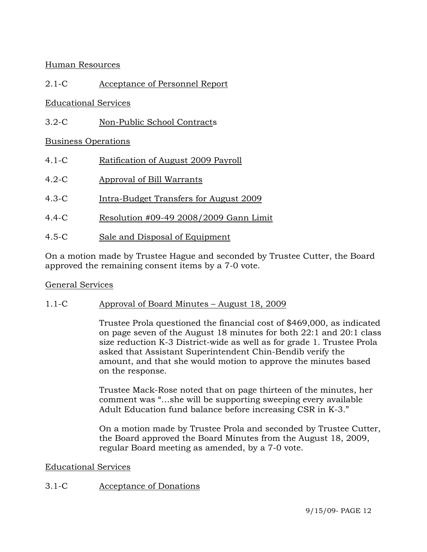## Human Resources

## 2.1-C Acceptance of Personnel Report

## Educational Services

3.2-C Non-Public School Contracts

## Business Operations

- 4.1-C Ratification of August 2009 Payroll
- 4.2-C Approval of Bill Warrants
- 4.3-C Intra-Budget Transfers for August 2009
- 4.4-C Resolution #09-49 2008/2009 Gann Limit
- 4.5-C Sale and Disposal of Equipment

On a motion made by Trustee Hague and seconded by Trustee Cutter, the Board approved the remaining consent items by a 7-0 vote.

#### General Services

### 1.1-C Approval of Board Minutes – August 18, 2009

Trustee Prola questioned the financial cost of \$469,000, as indicated on page seven of the August 18 minutes for both 22:1 and 20:1 class size reduction K-3 District-wide as well as for grade 1. Trustee Prola asked that Assistant Superintendent Chin-Bendib verify the amount, and that she would motion to approve the minutes based on the response.

Trustee Mack-Rose noted that on page thirteen of the minutes, her comment was "…she will be supporting sweeping every available Adult Education fund balance before increasing CSR in K-3."

On a motion made by Trustee Prola and seconded by Trustee Cutter, the Board approved the Board Minutes from the August 18, 2009, regular Board meeting as amended, by a 7-0 vote.

#### Educational Services

### 3.1-C Acceptance of Donations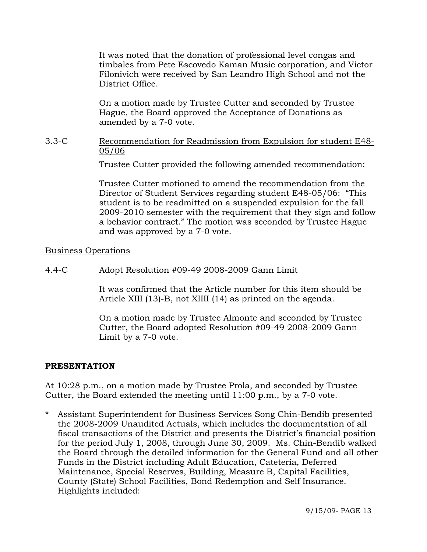It was noted that the donation of professional level congas and timbales from Pete Escovedo Kaman Music corporation, and Victor Filonivich were received by San Leandro High School and not the District Office.

On a motion made by Trustee Cutter and seconded by Trustee Hague, the Board approved the Acceptance of Donations as amended by a 7-0 vote.

#### 3.3-C Recommendation for Readmission from Expulsion for student E48- 05/06

Trustee Cutter provided the following amended recommendation:

Trustee Cutter motioned to amend the recommendation from the Director of Student Services regarding student E48-05/06: "This student is to be readmitted on a suspended expulsion for the fall 2009-2010 semester with the requirement that they sign and follow a behavior contract." The motion was seconded by Trustee Hague and was approved by a 7-0 vote.

Business Operations

### 4.4-C Adopt Resolution #09-49 2008-2009 Gann Limit

It was confirmed that the Article number for this item should be Article XIII (13)-B, not XIIII (14) as printed on the agenda.

On a motion made by Trustee Almonte and seconded by Trustee Cutter, the Board adopted Resolution #09-49 2008-2009 Gann Limit by a 7-0 vote.

#### **PRESENTATION**

At 10:28 p.m., on a motion made by Trustee Prola, and seconded by Trustee Cutter, the Board extended the meeting until 11:00 p.m., by a 7-0 vote.

\* Assistant Superintendent for Business Services Song Chin-Bendib presented the 2008-2009 Unaudited Actuals, which includes the documentation of all fiscal transactions of the District and presents the District's financial position for the period July 1, 2008, through June 30, 2009. Ms. Chin-Bendib walked the Board through the detailed information for the General Fund and all other Funds in the District including Adult Education, Cateteria, Deferred Maintenance, Special Reserves, Building, Measure B, Capital Facilities, County (State) School Facilities, Bond Redemption and Self Insurance. Highlights included: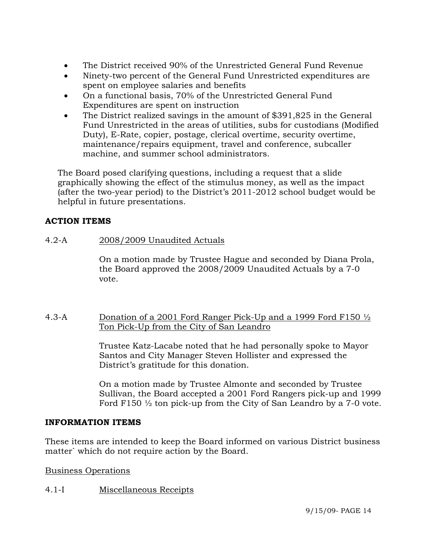- The District received 90% of the Unrestricted General Fund Revenue
- Ninety-two percent of the General Fund Unrestricted expenditures are spent on employee salaries and benefits
- On a functional basis, 70% of the Unrestricted General Fund Expenditures are spent on instruction
- The District realized savings in the amount of \$391,825 in the General Fund Unrestricted in the areas of utilities, subs for custodians (Modified Duty), E-Rate, copier, postage, clerical overtime, security overtime, maintenance/repairs equipment, travel and conference, subcaller machine, and summer school administrators.

 The Board posed clarifying questions, including a request that a slide graphically showing the effect of the stimulus money, as well as the impact (after the two-year period) to the District's 2011-2012 school budget would be helpful in future presentations.

# **ACTION ITEMS**

# 4.2-A 2008/2009 Unaudited Actuals

On a motion made by Trustee Hague and seconded by Diana Prola, the Board approved the 2008/2009 Unaudited Actuals by a 7-0 vote.

### 4.3-A Donation of a 2001 Ford Ranger Pick-Up and a 1999 Ford F150 ½ Ton Pick-Up from the City of San Leandro

Trustee Katz-Lacabe noted that he had personally spoke to Mayor Santos and City Manager Steven Hollister and expressed the District's gratitude for this donation.

On a motion made by Trustee Almonte and seconded by Trustee Sullivan, the Board accepted a 2001 Ford Rangers pick-up and 1999 Ford F150 ½ ton pick-up from the City of San Leandro by a 7-0 vote.

### **INFORMATION ITEMS**

These items are intended to keep the Board informed on various District business matter` which do not require action by the Board.

Business Operations

# 4.1-I Miscellaneous Receipts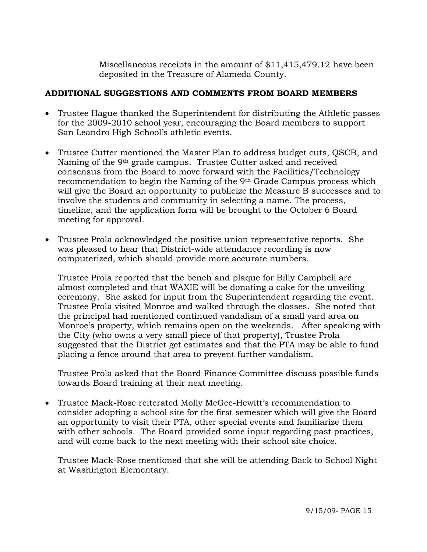Miscellaneous receipts in the amount of \$11,415,479.12 have been deposited in the Treasure of Alameda County.

## **ADDITIONAL SUGGESTIONS AND COMMENTS FROM BOARD MEMBERS**

- Trustee Hague thanked the Superintendent for distributing the Athletic passes for the 2009-2010 school year, encouraging the Board members to support San Leandro High School's athletic events.
- Trustee Cutter mentioned the Master Plan to address budget cuts, QSCB, and Naming of the 9th grade campus. Trustee Cutter asked and received consensus from the Board to move forward with the Facilities/Technology recommendation to begin the Naming of the 9th Grade Campus process which will give the Board an opportunity to publicize the Measure B successes and to involve the students and community in selecting a name. The process, timeline, and the application form will be brought to the October 6 Board meeting for approval.
- Trustee Prola acknowledged the positive union representative reports. She was pleased to hear that District-wide attendance recording is now computerized, which should provide more accurate numbers.

Trustee Prola reported that the bench and plaque for Billy Campbell are almost completed and that WAXIE will be donating a cake for the unveiling ceremony. She asked for input from the Superintendent regarding the event. Trustee Prola visited Monroe and walked through the classes. She noted that the principal had mentioned continued vandalism of a small yard area on Monroe's property, which remains open on the weekends. After speaking with the City (who owns a very small piece of that property), Trustee Prola suggested that the District get estimates and that the PTA may be able to fund placing a fence around that area to prevent further vandalism.

Trustee Prola asked that the Board Finance Committee discuss possible funds towards Board training at their next meeting.

• Trustee Mack-Rose reiterated Molly McGee-Hewitt's recommendation to consider adopting a school site for the first semester which will give the Board an opportunity to visit their PTA, other special events and familiarize them with other schools. The Board provided some input regarding past practices, and will come back to the next meeting with their school site choice.

Trustee Mack-Rose mentioned that she will be attending Back to School Night at Washington Elementary.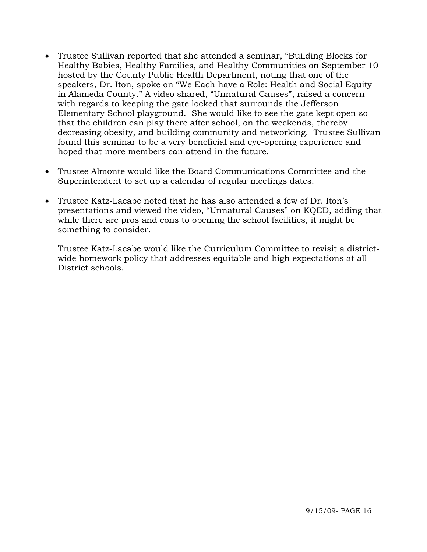- Trustee Sullivan reported that she attended a seminar, "Building Blocks for Healthy Babies, Healthy Families, and Healthy Communities on September 10 hosted by the County Public Health Department, noting that one of the speakers, Dr. Iton, spoke on "We Each have a Role: Health and Social Equity in Alameda County." A video shared, "Unnatural Causes", raised a concern with regards to keeping the gate locked that surrounds the Jefferson Elementary School playground. She would like to see the gate kept open so that the children can play there after school, on the weekends, thereby decreasing obesity, and building community and networking. Trustee Sullivan found this seminar to be a very beneficial and eye-opening experience and hoped that more members can attend in the future.
- Trustee Almonte would like the Board Communications Committee and the Superintendent to set up a calendar of regular meetings dates.
- Trustee Katz-Lacabe noted that he has also attended a few of Dr. Iton's presentations and viewed the video, "Unnatural Causes" on KQED, adding that while there are pros and cons to opening the school facilities, it might be something to consider.

Trustee Katz-Lacabe would like the Curriculum Committee to revisit a districtwide homework policy that addresses equitable and high expectations at all District schools.